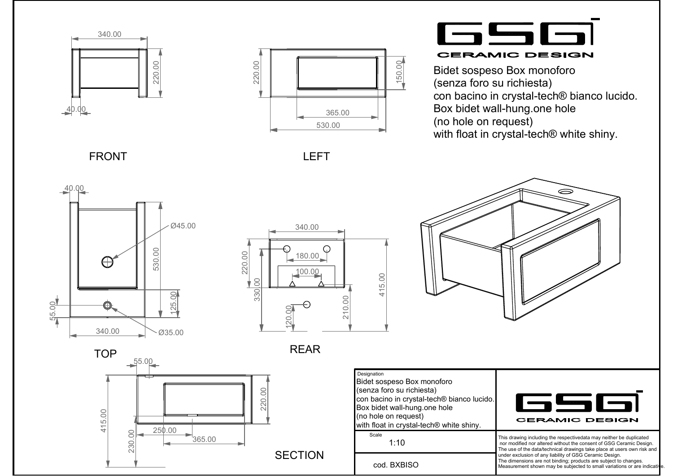



6566 **CERAMIC DESIGN** 

Bidet sospeso Box monoforo (senza foro su richiesta) con bacino in crystal-tech® bianco lucido.Box bidet wall-hung.one hole (no hole on request)with float in crystal-tech® white shiny.

⊝

FRONT





LEFT

REAR



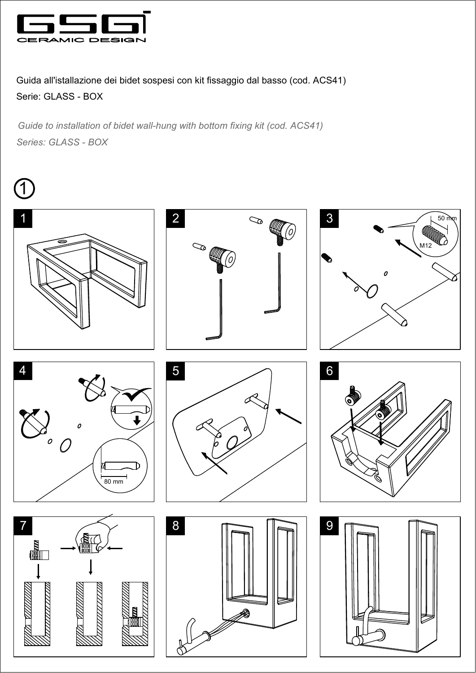

Guida all'istallazione dei bidet sospesi con kit fissaggio dal basso (cod. ACS41) Serie: GLASS - BOX

*Series: GLASS - BOX Guide to installation of bidet wall-hung with bottom fixing kit (cod. ACS41)*